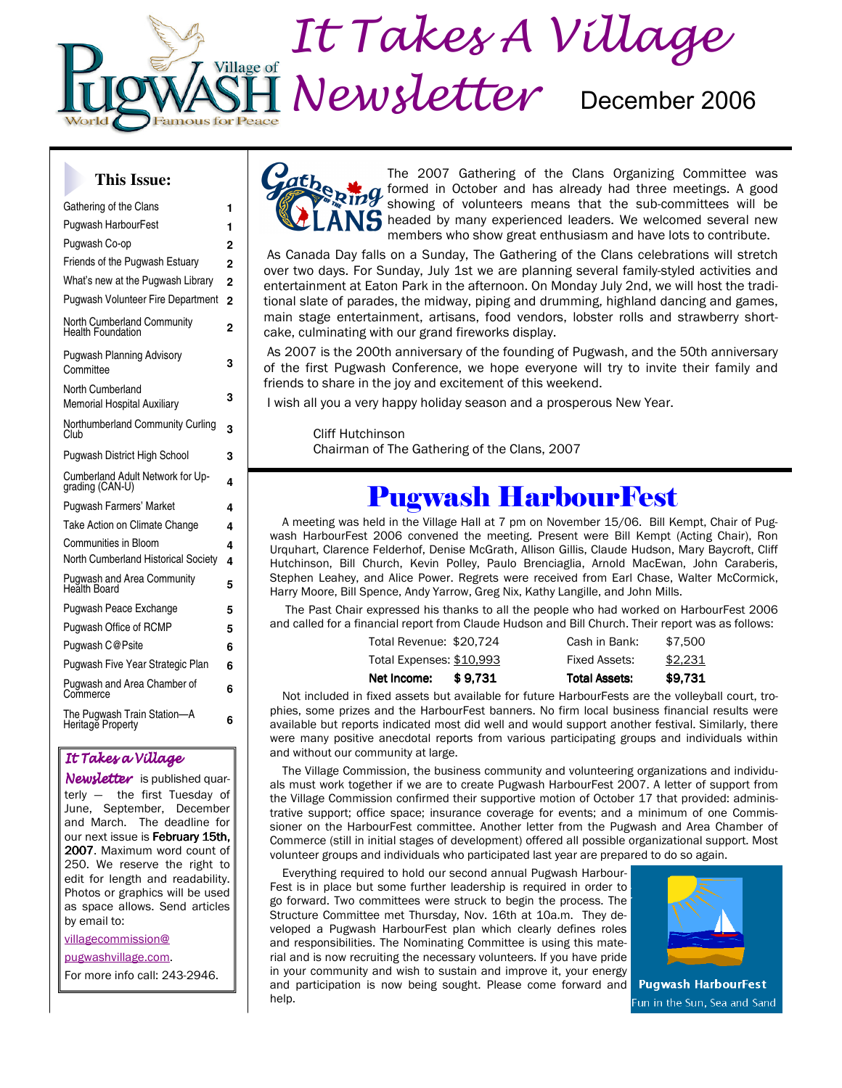

#### **This Issue:**

| Gathering of the Clans                                        |                |  |  |
|---------------------------------------------------------------|----------------|--|--|
| Pugwash HarbourFest                                           |                |  |  |
| Pugwash Co-op                                                 | $\overline{2}$ |  |  |
| Friends of the Pugwash Estuary                                | $\overline{2}$ |  |  |
| What's new at the Pugwash Library                             | $\overline{2}$ |  |  |
| <b>Pugwash Volunteer Fire Department</b>                      | $\overline{2}$ |  |  |
| <b>North Cumberland Community</b><br><b>Health Foundation</b> | 2              |  |  |
| <b>Pugwash Planning Advisory</b><br>Committee                 | 3              |  |  |
| North Cumberland<br><b>Memorial Hospital Auxiliary</b>        | 3              |  |  |
| Northumberland Community Curling<br>Club                      | 3              |  |  |
| <b>Pugwash District High School</b>                           | 3              |  |  |
| Cumberland Adult Network for Up-<br>grading (CAN-U)           | 4              |  |  |
| <b>Pugwash Farmers' Market</b>                                | 4              |  |  |
| Take Action on Climate Change                                 | 4              |  |  |
| Communities in Bloom                                          | 4              |  |  |
| North Cumberland Historical Society                           | 4              |  |  |
| <b>Pugwash and Area Community</b><br>Health Board             | 5              |  |  |
| Pugwash Peace Exchange                                        | 5              |  |  |
| <b>Pugwash Office of RCMP</b>                                 | 5              |  |  |
| Pugwash C@Psite                                               | 6              |  |  |
| Pugwash Five Year Strategic Plan                              | 6              |  |  |
| Pugwash and Area Chamber of<br>Commerce                       | 6              |  |  |
| The Pugwash Train Station-A<br>Heritage Property              | 6              |  |  |
|                                                               |                |  |  |

#### It Takes a Village

Newsletter is published quarterly — the first Tuesday of June, September, December and March. The deadline for our next issue is February 15th, 2007. Maximum word count of 250. We reserve the right to edit for length and readability. Photos or graphics will be used as space allows. Send articles by email to:

villagecommission@

pugwashvillage.com.

For more info call: 243-2946.



The 2007 Gathering of the Clans Organizing Committee was formed in October and has already had three meetings. A good showing of volunteers means that the sub-committees will be **S** headed by many experienced leaders. We welcomed several new members who show great enthusiasm and have lots to contribute.

 As Canada Day falls on a Sunday, The Gathering of the Clans celebrations will stretch over two days. For Sunday, July 1st we are planning several family-styled activities and entertainment at Eaton Park in the afternoon. On Monday July 2nd, we will host the traditional slate of parades, the midway, piping and drumming, highland dancing and games, main stage entertainment, artisans, food vendors, lobster rolls and strawberry shortcake, culminating with our grand fireworks display.

 As 2007 is the 200th anniversary of the founding of Pugwash, and the 50th anniversary of the first Pugwash Conference, we hope everyone will try to invite their family and friends to share in the joy and excitement of this weekend.

I wish all you a very happy holiday season and a prosperous New Year.

 Cliff Hutchinson Chairman of The Gathering of the Clans, 2007

## Pugwash HarbourFest

A meeting was held in the Village Hall at 7 pm on November 15/06. Bill Kempt, Chair of Pugwash HarbourFest 2006 convened the meeting. Present were Bill Kempt (Acting Chair), Ron Urquhart, Clarence Felderhof, Denise McGrath, Allison Gillis, Claude Hudson, Mary Baycroft, Cliff Hutchinson, Bill Church, Kevin Polley, Paulo Brenciaglia, Arnold MacEwan, John Caraberis, Stephen Leahey, and Alice Power. Regrets were received from Earl Chase, Walter McCormick, Harry Moore, Bill Spence, Andy Yarrow, Greg Nix, Kathy Langille, and John Mills.

 The Past Chair expressed his thanks to all the people who had worked on HarbourFest 2006 and called for a financial report from Claude Hudson and Bill Church. Their report was as follows:

| Net Income:              | \$9.731 | <b>Total Assets:</b> | \$9.731 |
|--------------------------|---------|----------------------|---------|
| Total Expenses: \$10,993 |         | Fixed Assets:        | \$2,231 |
| Total Revenue: \$20,724  |         | Cash in Bank:        | \$7.500 |

Not included in fixed assets but available for future HarbourFests are the volleyball court, trophies, some prizes and the HarbourFest banners. No firm local business financial results were available but reports indicated most did well and would support another festival. Similarly, there were many positive anecdotal reports from various participating groups and individuals within and without our community at large.

The Village Commission, the business community and volunteering organizations and individuals must work together if we are to create Pugwash HarbourFest 2007. A letter of support from the Village Commission confirmed their supportive motion of October 17 that provided: administrative support; office space; insurance coverage for events; and a minimum of one Commissioner on the HarbourFest committee. Another letter from the Pugwash and Area Chamber of Commerce (still in initial stages of development) offered all possible organizational support. Most volunteer groups and individuals who participated last year are prepared to do so again.

Everything required to hold our second annual Pugwash Harbour-Fest is in place but some further leadership is required in order to go forward. Two committees were struck to begin the process. The Structure Committee met Thursday, Nov. 16th at 10a.m. They developed a Pugwash HarbourFest plan which clearly defines roles and responsibilities. The Nominating Committee is using this material and is now recruiting the necessary volunteers. If you have pride in your community and wish to sustain and improve it, your energy and participation is now being sought. Please come forward and help.



**Pugwash HarbourFest** un in the Sun, Sea and Sand<sup>-</sup>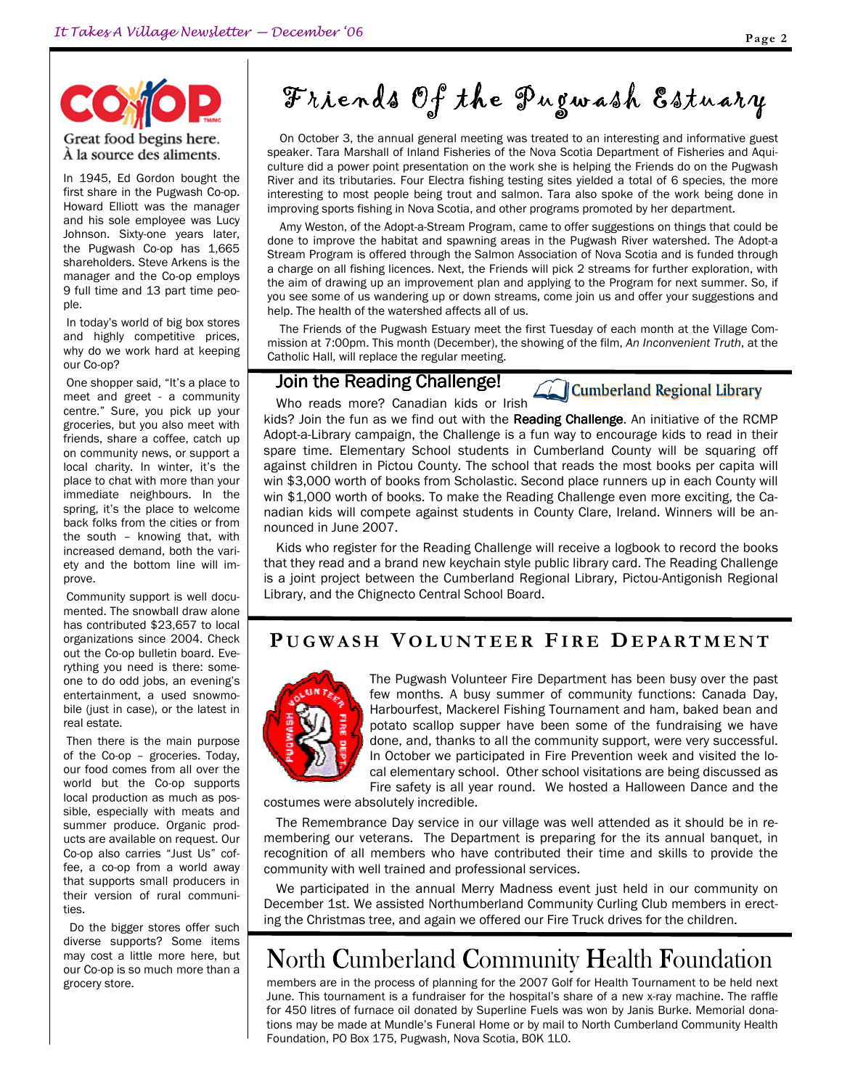# $O(\epsilon)$ Great food begins here.

À la source des aliments.

In 1945, Ed Gordon bought the first share in the Pugwash Co-op. Howard Elliott was the manager and his sole employee was Lucy Johnson. Sixty-one years later, the Pugwash Co-op has 1,665 shareholders. Steve Arkens is the manager and the Co-op employs 9 full time and 13 part time people.

 In today's world of big box stores and highly competitive prices, why do we work hard at keeping our Co-op?

 One shopper said, "It's a place to meet and greet - a community centre." Sure, you pick up your groceries, but you also meet with friends, share a coffee, catch up on community news, or support a local charity. In winter, it's the place to chat with more than your immediate neighbours. In the spring, it's the place to welcome back folks from the cities or from the south – knowing that, with increased demand, both the variety and the bottom line will improve.

 Community support is well documented. The snowball draw alone has contributed \$23,657 to local organizations since 2004. Check out the Co-op bulletin board. Everything you need is there: someone to do odd jobs, an evening's entertainment, a used snowmobile (just in case), or the latest in real estate.

 Then there is the main purpose of the Co-op – groceries. Today, our food comes from all over the world but the Co-op supports local production as much as possible, especially with meats and summer produce. Organic products are available on request. Our Co-op also carries "Just Us" coffee, a co-op from a world away that supports small producers in their version of rural communities.

 Do the bigger stores offer such diverse supports? Some items may cost a little more here, but our Co-op is so much more than a grocery store.

# Friends Of the Pugwash Estuary

On October 3, the annual general meeting was treated to an interesting and informative guest speaker. Tara Marshall of Inland Fisheries of the Nova Scotia Department of Fisheries and Aquiculture did a power point presentation on the work she is helping the Friends do on the Pugwash River and its tributaries. Four Electra fishing testing sites yielded a total of 6 species, the more interesting to most people being trout and salmon. Tara also spoke of the work being done in improving sports fishing in Nova Scotia, and other programs promoted by her department.

Amy Weston, of the Adopt-a-Stream Program, came to offer suggestions on things that could be done to improve the habitat and spawning areas in the Pugwash River watershed. The Adopt-a Stream Program is offered through the Salmon Association of Nova Scotia and is funded through a charge on all fishing licences. Next, the Friends will pick 2 streams for further exploration, with the aim of drawing up an improvement plan and applying to the Program for next summer. So, if you see some of us wandering up or down streams, come join us and offer your suggestions and help. The health of the watershed affects all of us.

The Friends of the Pugwash Estuary meet the first Tuesday of each month at the Village Commission at 7:00pm. This month (December), the showing of the film, An Inconvenient Truth, at the Catholic Hall, will replace the regular meeting.

#### Join the Reading Challenge!

Who reads more? Canadian kids or Irish

**Cumberland Regional Library** 

kids? Join the fun as we find out with the Reading Challenge. An initiative of the RCMP Adopt-a-Library campaign, the Challenge is a fun way to encourage kids to read in their spare time. Elementary School students in Cumberland County will be squaring off against children in Pictou County. The school that reads the most books per capita will win \$3,000 worth of books from Scholastic. Second place runners up in each County will win \$1,000 worth of books. To make the Reading Challenge even more exciting, the Canadian kids will compete against students in County Clare, Ireland. Winners will be announced in June 2007.

Kids who register for the Reading Challenge will receive a logbook to record the books that they read and a brand new keychain style public library card. The Reading Challenge is a joint project between the Cumberland Regional Library, Pictou-Antigonish Regional Library, and the Chignecto Central School Board.

## PUGWASH VOLUNTEER FIRE DEPARTMENT



The Pugwash Volunteer Fire Department has been busy over the past few months. A busy summer of community functions: Canada Day, Harbourfest, Mackerel Fishing Tournament and ham, baked bean and potato scallop supper have been some of the fundraising we have done, and, thanks to all the community support, were very successful. In October we participated in Fire Prevention week and visited the local elementary school. Other school visitations are being discussed as Fire safety is all year round. We hosted a Halloween Dance and the

costumes were absolutely incredible.

The Remembrance Day service in our village was well attended as it should be in remembering our veterans. The Department is preparing for the its annual banquet, in recognition of all members who have contributed their time and skills to provide the community with well trained and professional services.

We participated in the annual Merry Madness event just held in our community on December 1st. We assisted Northumberland Community Curling Club members in erecting the Christmas tree, and again we offered our Fire Truck drives for the children.

## North Cumberland Community Health Foundation

members are in the process of planning for the 2007 Golf for Health Tournament to be held next June. This tournament is a fundraiser for the hospital's share of a new x-ray machine. The raffle for 450 litres of furnace oil donated by Superline Fuels was won by Janis Burke. Memorial donations may be made at Mundle's Funeral Home or by mail to North Cumberland Community Health Foundation, PO Box 175, Pugwash, Nova Scotia, B0K 1L0.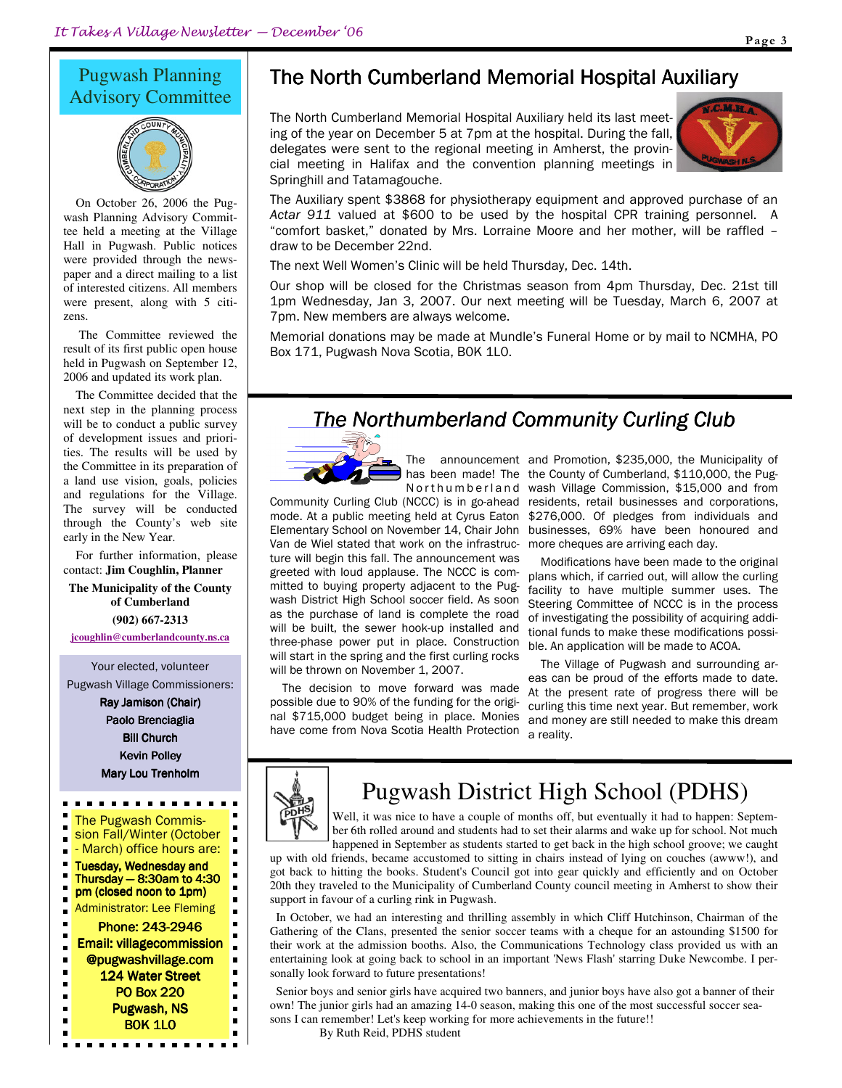### Pugwash Planning Advisory Committee



On October 26, 2006 the Pugwash Planning Advisory Committee held a meeting at the Village Hall in Pugwash. Public notices were provided through the newspaper and a direct mailing to a list of interested citizens. All members were present, along with 5 citizens.

 The Committee reviewed the result of its first public open house held in Pugwash on September 12, 2006 and updated its work plan.

The Committee decided that the next step in the planning process will be to conduct a public survey of development issues and priorities. The results will be used by the Committee in its preparation of a land use vision, goals, policies and regulations for the Village. The survey will be conducted through the County's web site early in the New Year.

For further information, please contact: **Jim Coughlin, Planner** 

**The Municipality of the County of Cumberland** 

**(902) 667-2313 jcoughlin@cumberlandcounty.ns.ca**

Your elected, volunteer Pugwash Village Commissioners:

> Ray Jamison (Chair) Paolo Brenciaglia **Bill Church** Kevin Polley Mary Lou Trenholm

#### . . . . . . . . . . . ٠ The Pugwash Commis-



## The North Cumberland Memorial Hospital Auxiliary

The North Cumberland Memorial Hospital Auxiliary held its last meeting of the year on December 5 at 7pm at the hospital. During the fall, delegates were sent to the regional meeting in Amherst, the provincial meeting in Halifax and the convention planning meetings in Springhill and Tatamagouche.



The Auxiliary spent \$3868 for physiotherapy equipment and approved purchase of an Actar 911 valued at \$600 to be used by the hospital CPR training personnel. A "comfort basket," donated by Mrs. Lorraine Moore and her mother, will be raffled – draw to be December 22nd.

The next Well Women's Clinic will be held Thursday, Dec. 14th.

Our shop will be closed for the Christmas season from 4pm Thursday, Dec. 21st till 1pm Wednesday, Jan 3, 2007. Our next meeting will be Tuesday, March 6, 2007 at 7pm. New members are always welcome.

Memorial donations may be made at Mundle's Funeral Home or by mail to NCMHA, PO Box 171, Pugwash Nova Scotia, B0K 1L0.

## The Northumberland Community Curling Club



N o r thum berland

Community Curling Club (NCCC) is in go-ahead mode. At a public meeting held at Cyrus Eaton Elementary School on November 14, Chair John Van de Wiel stated that work on the infrastructure will begin this fall. The announcement was greeted with loud applause. The NCCC is committed to buying property adjacent to the Pugwash District High School soccer field. As soon as the purchase of land is complete the road will be built, the sewer hook-up installed and three-phase power put in place. Construction will start in the spring and the first curling rocks will be thrown on November 1, 2007.

The decision to move forward was made possible due to 90% of the funding for the original \$715,000 budget being in place. Monies have come from Nova Scotia Health Protection

The announcement and Promotion, \$235,000, the Municipality of has been made! The the County of Cumberland, \$110,000, the Pugwash Village Commission, \$15,000 and from residents, retail businesses and corporations, \$276,000. Of pledges from individuals and businesses, 69% have been honoured and more cheques are arriving each day.

> Modifications have been made to the original plans which, if carried out, will allow the curling facility to have multiple summer uses. The Steering Committee of NCCC is in the process of investigating the possibility of acquiring additional funds to make these modifications possible. An application will be made to ACOA.

> The Village of Pugwash and surrounding areas can be proud of the efforts made to date. At the present rate of progress there will be curling this time next year. But remember, work and money are still needed to make this dream a reality.



 $\blacksquare$ 

 $\blacksquare$ 

 $\blacksquare$ 

.

n.

п

 $\blacksquare$ 

 $\blacksquare$ 

 $\blacksquare$  $\blacksquare$ 

 $\blacksquare$ 

 $\blacksquare$  $\blacksquare$ 

## Pugwash District High School (PDHS)

Well, it was nice to have a couple of months off, but eventually it had to happen: September 6th rolled around and students had to set their alarms and wake up for school. Not much happened in September as students started to get back in the high school groove; we caught

up with old friends, became accustomed to sitting in chairs instead of lying on couches (awww!), and got back to hitting the books. Student's Council got into gear quickly and efficiently and on October 20th they traveled to the Municipality of Cumberland County council meeting in Amherst to show their support in favour of a curling rink in Pugwash.

In October, we had an interesting and thrilling assembly in which Cliff Hutchinson, Chairman of the Gathering of the Clans, presented the senior soccer teams with a cheque for an astounding \$1500 for their work at the admission booths. Also, the Communications Technology class provided us with an entertaining look at going back to school in an important 'News Flash' starring Duke Newcombe. I personally look forward to future presentations!

Senior boys and senior girls have acquired two banners, and junior boys have also got a banner of their own! The junior girls had an amazing 14-0 season, making this one of the most successful soccer seasons I can remember! Let's keep working for more achievements in the future!!

By Ruth Reid, PDHS student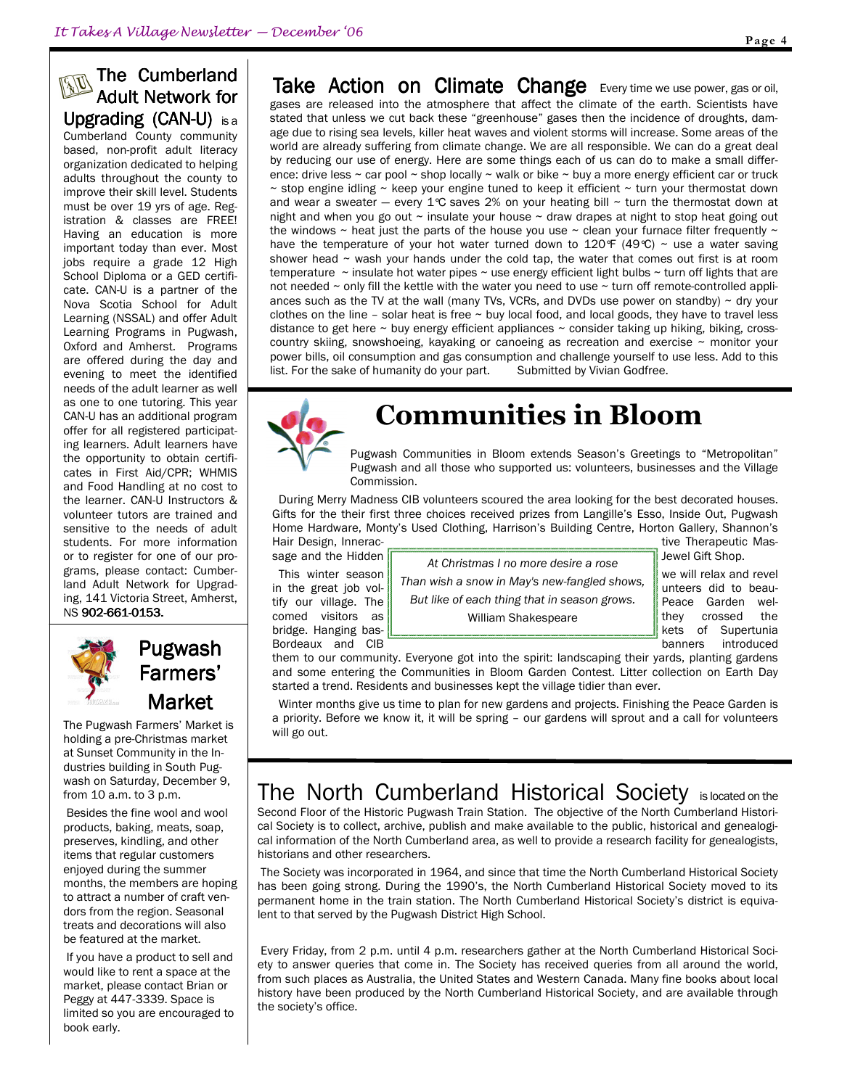## **AD** The Cumberland Adult Network for Upgrading (CAN-U) is a

Cumberland County community based, non-profit adult literacy organization dedicated to helping adults throughout the county to improve their skill level. Students must be over 19 yrs of age. Registration & classes are FREE! Having an education is more important today than ever. Most jobs require a grade 12 High School Diploma or a GED certificate. CAN-U is a partner of the Nova Scotia School for Adult Learning (NSSAL) and offer Adult Learning Programs in Pugwash, Oxford and Amherst. Programs are offered during the day and evening to meet the identified needs of the adult learner as well as one to one tutoring. This year CAN-U has an additional program offer for all registered participating learners. Adult learners have the opportunity to obtain certificates in First Aid/CPR; WHMIS and Food Handling at no cost to the learner. CAN-U Instructors & volunteer tutors are trained and sensitive to the needs of adult students. For more information or to register for one of our programs, please contact: Cumberland Adult Network for Upgrading, 141 Victoria Street, Amherst, NS 902-661-0153.



Pugwash Farmers' Market

The Pugwash Farmers' Market is holding a pre-Christmas market at Sunset Community in the Industries building in South Pugwash on Saturday, December 9, from 10 a.m. to 3 p.m.

 Besides the fine wool and wool products, baking, meats, soap, preserves, kindling, and other items that regular customers enjoyed during the summer months, the members are hoping to attract a number of craft vendors from the region. Seasonal treats and decorations will also be featured at the market.

 If you have a product to sell and would like to rent a space at the market, please contact Brian or Peggy at 447-3339. Space is limited so you are encouraged to book early.

Take Action on Climate Change Every time we use power, gas or oil, gases are released into the atmosphere that affect the climate of the earth. Scientists have stated that unless we cut back these "greenhouse" gases then the incidence of droughts, damage due to rising sea levels, killer heat waves and violent storms will increase. Some areas of the world are already suffering from climate change. We are all responsible. We can do a great deal by reducing our use of energy. Here are some things each of us can do to make a small difference: drive less ~ car pool ~ shop locally ~ walk or bike ~ buy a more energy efficient car or truck  $\sim$  stop engine idling  $\sim$  keep your engine tuned to keep it efficient  $\sim$  turn your thermostat down and wear a sweater — every  $1^\circ \text{C}$  saves 2% on your heating bill ~ turn the thermostat down at night and when you go out  $\sim$  insulate your house  $\sim$  draw drapes at night to stop heat going out the windows  $\sim$  heat just the parts of the house you use  $\sim$  clean your furnace filter frequently  $\sim$ have the temperature of your hot water turned down to 120°F (49°C)  $\sim$  use a water saving shower head  $\sim$  wash your hands under the cold tap, the water that comes out first is at room temperature  $\sim$  insulate hot water pipes  $\sim$  use energy efficient light bulbs  $\sim$  turn off lights that are not needed  $\sim$  only fill the kettle with the water you need to use  $\sim$  turn off remote-controlled appliances such as the TV at the wall (many TVs, VCRs, and DVDs use power on standby)  $\sim$  dry your clothes on the line – solar heat is free  $\sim$  buy local food, and local goods, they have to travel less distance to get here  $\sim$  buy energy efficient appliances  $\sim$  consider taking up hiking, biking, crosscountry skiing, snowshoeing, kayaking or canoeing as recreation and exercise  $\sim$  monitor your power bills, oil consumption and gas consumption and challenge yourself to use less. Add to this list. For the sake of humanity do your part. Submitted by Vivian Godfree.



## Communities in Bloom

Pugwash Communities in Bloom extends Season's Greetings to "Metropolitan" Pugwash and all those who supported us: volunteers, businesses and the Village Commission.

During Merry Madness CIB volunteers scoured the area looking for the best decorated houses. Gifts for the their first three choices received prizes from Langille's Esso, Inside Out, Pugwash Home Hardware, Monty's Used Clothing, Harrison's Building Centre, Horton Gallery, Shannon's Hair Design, Innerac- **the Example 2018** and the Therapeutic Mas-

sage and the Hidden  $\sqrt{\frac{4t \text{ Ob}}{t}}$  Christmas I as mars desire a reasonal Jewel Gift Shop. This winter season  $\|\cdot\|$ in the great job vol-  $\parallel$  Than wish a snow in May's new-fangled shows,  $\parallel$  unteers did to beautify our village. The **But like of each thing that in season grows.** Peace Garden welcomed visitors as **the set of the villiam Shakespeare the set of the villiam Shakespeare** bridge. Hanging bas- **kets of Supertunia** and Supertunia and Supertunia and Supertunia At Christmas I no more desire a rose William Shakespeare

Bordeaux and CIB **banners** introduced

them to our community. Everyone got into the spirit: landscaping their yards, planting gardens and some entering the Communities in Bloom Garden Contest. Litter collection on Earth Day started a trend. Residents and businesses kept the village tidier than ever.

Winter months give us time to plan for new gardens and projects. Finishing the Peace Garden is a priority. Before we know it, it will be spring – our gardens will sprout and a call for volunteers will go out.

## The North Cumberland Historical Society is located on the

Second Floor of the Historic Pugwash Train Station. The objective of the North Cumberland Historical Society is to collect, archive, publish and make available to the public, historical and genealogical information of the North Cumberland area, as well to provide a research facility for genealogists, historians and other researchers.

 The Society was incorporated in 1964, and since that time the North Cumberland Historical Society has been going strong. During the 1990's, the North Cumberland Historical Society moved to its permanent home in the train station. The North Cumberland Historical Society's district is equivalent to that served by the Pugwash District High School.

 Every Friday, from 2 p.m. until 4 p.m. researchers gather at the North Cumberland Historical Society to answer queries that come in. The Society has received queries from all around the world, from such places as Australia, the United States and Western Canada. Many fine books about local history have been produced by the North Cumberland Historical Society, and are available through the society's office.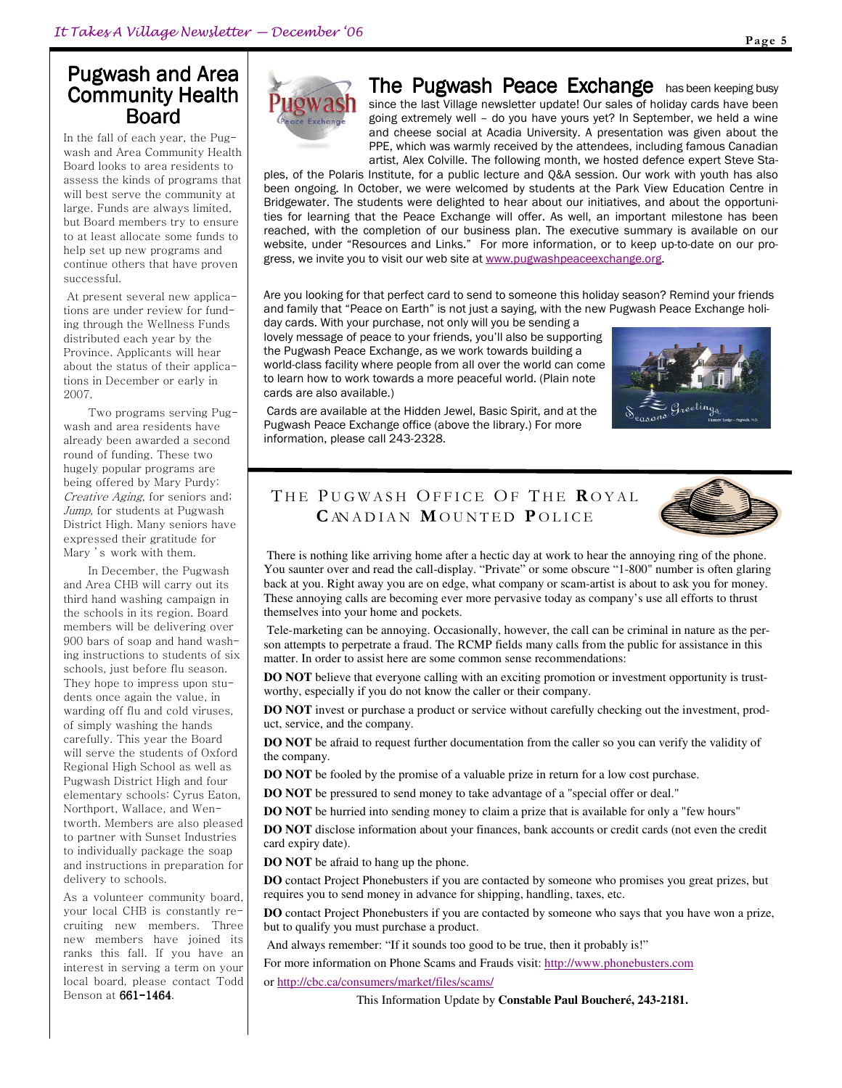### Pugwash and Area Community Health Board

In the fall of each year, the Pugwash and Area Community Health Board looks to area residents to assess the kinds of programs that will best serve the community at large. Funds are always limited, but Board members try to ensure to at least allocate some funds to help set up new programs and continue others that have proven successful.

 At present several new applications are under review for funding through the Wellness Funds distributed each year by the Province. Applicants will hear about the status of their applications in December or early in 2007.

Two programs serving Pugwash and area residents have already been awarded a second round of funding. These two hugely popular programs are being offered by Mary Purdy: Creative Aging, for seniors and; Jump, for students at Pugwash District High. Many seniors have expressed their gratitude for Mary 's work with them.

In December, the Pugwash and Area CHB will carry out its third hand washing campaign in the schools in its region. Board members will be delivering over 900 bars of soap and hand washing instructions to students of six schools, just before flu season. They hope to impress upon students once again the value, in warding off flu and cold viruses, of simply washing the hands carefully. This year the Board will serve the students of Oxford Regional High School as well as Pugwash District High and four elementary schools: Cyrus Eaton, Northport, Wallace, and Wentworth. Members are also pleased to partner with Sunset Industries to individually package the soap and instructions in preparation for delivery to schools.

As a volunteer community board, your local CHB is constantly recruiting new members. Three new members have joined its ranks this fall. If you have an interest in serving a term on your local board, please contact Todd Benson at 661-1464.



The Pugwash Peace Exchange has been keeping busy since the last Village newsletter update! Our sales of holiday cards have been going extremely well – do you have yours yet? In September, we held a wine and cheese social at Acadia University. A presentation was given about the PPE, which was warmly received by the attendees, including famous Canadian artist, Alex Colville. The following month, we hosted defence expert Steve Sta-

ples, of the Polaris Institute, for a public lecture and Q&A session. Our work with youth has also been ongoing. In October, we were welcomed by students at the Park View Education Centre in Bridgewater. The students were delighted to hear about our initiatives, and about the opportunities for learning that the Peace Exchange will offer. As well, an important milestone has been reached, with the completion of our business plan. The executive summary is available on our website, under "Resources and Links." For more information, or to keep up-to-date on our progress, we invite you to visit our web site at www.pugwashpeaceexchange.org.

Are you looking for that perfect card to send to someone this holiday season? Remind your friends and family that "Peace on Earth" is not just a saying, with the new Pugwash Peace Exchange holi-

day cards. With your purchase, not only will you be sending a lovely message of peace to your friends, you'll also be supporting the Pugwash Peace Exchange, as we work towards building a world-class facility where people from all over the world can come to learn how to work towards a more peaceful world. (Plain note cards are also available.)



 Cards are available at the Hidden Jewel, Basic Spirit, and at the Pugwash Peace Exchange office (above the library.) For more information, please call 243-2328.

#### THE PUGWASH OFFICE OF THE ROYAL CAN ADIAN MOUNTED POLICE



 There is nothing like arriving home after a hectic day at work to hear the annoying ring of the phone. You saunter over and read the call-display. "Private" or some obscure "1-800" number is often glaring back at you. Right away you are on edge, what company or scam-artist is about to ask you for money. These annoying calls are becoming ever more pervasive today as company's use all efforts to thrust themselves into your home and pockets.

 Tele-marketing can be annoying. Occasionally, however, the call can be criminal in nature as the person attempts to perpetrate a fraud. The RCMP fields many calls from the public for assistance in this matter. In order to assist here are some common sense recommendations:

**DO NOT** believe that everyone calling with an exciting promotion or investment opportunity is trustworthy, especially if you do not know the caller or their company.

**DO NOT** invest or purchase a product or service without carefully checking out the investment, product, service, and the company.

**DO NOT** be afraid to request further documentation from the caller so you can verify the validity of the company.

**DO NOT** be fooled by the promise of a valuable prize in return for a low cost purchase.

**DO NOT** be pressured to send money to take advantage of a "special offer or deal."

**DO NOT** be hurried into sending money to claim a prize that is available for only a "few hours"

**DO NOT** disclose information about your finances, bank accounts or credit cards (not even the credit card expiry date).

**DO NOT** be afraid to hang up the phone.

**DO** contact Project Phonebusters if you are contacted by someone who promises you great prizes, but requires you to send money in advance for shipping, handling, taxes, etc.

**DO** contact Project Phonebusters if you are contacted by someone who says that you have won a prize, but to qualify you must purchase a product.

And always remember: "If it sounds too good to be true, then it probably is!"

For more information on Phone Scams and Frauds visit: http://www.phonebusters.com

or http://cbc.ca/consumers/market/files/scams/

This Information Update by **Constable Paul Boucheré, 243-2181.**